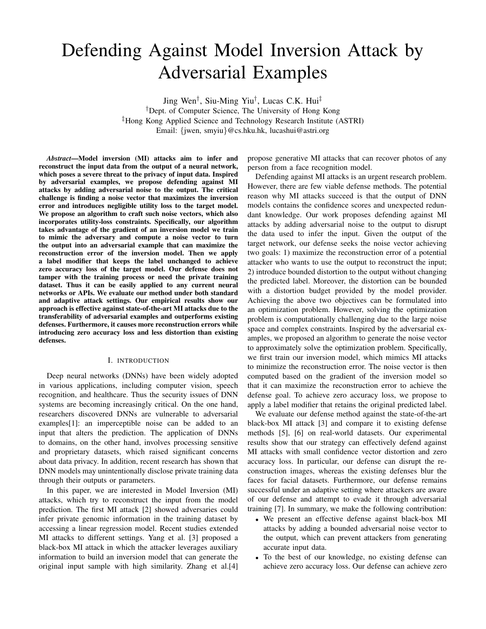# Defending Against Model Inversion Attack by Adversarial Examples

Jing Wen† , Siu-Ming Yiu† , Lucas C.K. Hui‡ †Dept. of Computer Science, The University of Hong Kong ‡Hong Kong Applied Science and Technology Research Institute (ASTRI) Email: {jwen, smyiu}@cs.hku.hk, lucashui@astri.org

*Abstract*—Model inversion (MI) attacks aim to infer and reconstruct the input data from the output of a neural network, which poses a severe threat to the privacy of input data. Inspired by adversarial examples, we propose defending against MI attacks by adding adversarial noise to the output. The critical challenge is finding a noise vector that maximizes the inversion error and introduces negligible utility loss to the target model. We propose an algorithm to craft such noise vectors, which also incorporates utility-loss constraints. Specifically, our algorithm takes advantage of the gradient of an inversion model we train to mimic the adversary and compute a noise vector to turn the output into an adversarial example that can maximize the reconstruction error of the inversion model. Then we apply a label modifier that keeps the label unchanged to achieve zero accuracy loss of the target model. Our defense does not tamper with the training process or need the private training dataset. Thus it can be easily applied to any current neural networks or APIs. We evaluate our method under both standard and adaptive attack settings. Our empirical results show our approach is effective against state-of-the-art MI attacks due to the transferability of adversarial examples and outperforms existing defenses. Furthermore, it causes more reconstruction errors while introducing zero accuracy loss and less distortion than existing defenses.

## I. INTRODUCTION

Deep neural networks (DNNs) have been widely adopted in various applications, including computer vision, speech recognition, and healthcare. Thus the security issues of DNN systems are becoming increasingly critical. On the one hand, researchers discovered DNNs are vulnerable to adversarial examples[1]: an imperceptible noise can be added to an input that alters the prediction. The application of DNNs to domains, on the other hand, involves processing sensitive and proprietary datasets, which raised significant concerns about data privacy. In addition, recent research has shown that DNN models may unintentionally disclose private training data through their outputs or parameters.

In this paper, we are interested in Model Inversion (MI) attacks, which try to reconstruct the input from the model prediction. The first MI attack [2] showed adversaries could infer private genomic information in the training dataset by accessing a linear regression model. Recent studies extended MI attacks to different settings. Yang et al. [3] proposed a black-box MI attack in which the attacker leverages auxiliary information to build an inversion model that can generate the original input sample with high similarity. Zhang et al.[4] propose generative MI attacks that can recover photos of any person from a face recognition model.

Defending against MI attacks is an urgent research problem. However, there are few viable defense methods. The potential reason why MI attacks succeed is that the output of DNN models contains the confidence scores and unexpected redundant knowledge. Our work proposes defending against MI attacks by adding adversarial noise to the output to disrupt the data used to infer the input. Given the output of the target network, our defense seeks the noise vector achieving two goals: 1) maximize the reconstruction error of a potential attacker who wants to use the output to reconstruct the input; 2) introduce bounded distortion to the output without changing the predicted label. Moreover, the distortion can be bounded with a distortion budget provided by the model provider. Achieving the above two objectives can be formulated into an optimization problem. However, solving the optimization problem is computationally challenging due to the large noise space and complex constraints. Inspired by the adversarial examples, we proposed an algorithm to generate the noise vector to approximately solve the optimization problem. Specifically, we first train our inversion model, which mimics MI attacks to minimize the reconstruction error. The noise vector is then computed based on the gradient of the inversion model so that it can maximize the reconstruction error to achieve the defense goal. To achieve zero accuracy loss, we propose to apply a label modifier that retains the original predicted label.

We evaluate our defense method against the state-of-the-art black-box MI attack [3] and compare it to existing defense methods [5], [6] on real-world datasets. Our experimental results show that our strategy can effectively defend against MI attacks with small confidence vector distortion and zero accuracy loss. In particular, our defense can disrupt the reconstruction images, whereas the existing defenses blur the faces for facial datasets. Furthermore, our defense remains successful under an adaptive setting where attackers are aware of our defense and attempt to evade it through adversarial training [7]. In summary, we make the following contribution:

- We present an effective defense against black-box MI attacks by adding a bounded adversarial noise vector to the output, which can prevent attackers from generating accurate input data.
- To the best of our knowledge, no existing defense can achieve zero accuracy loss. Our defense can achieve zero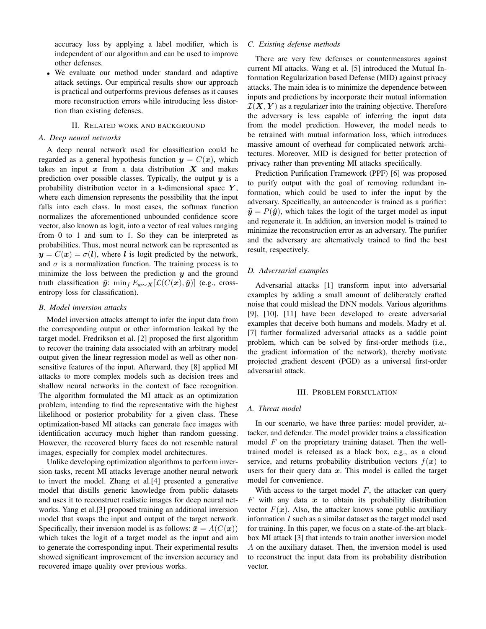accuracy loss by applying a label modifier, which is independent of our algorithm and can be used to improve other defenses.

• We evaluate our method under standard and adaptive attack settings. Our empirical results show our approach is practical and outperforms previous defenses as it causes more reconstruction errors while introducing less distortion than existing defenses.

# II. RELATED WORK AND BACKGROUND

#### *A. Deep neural networks*

A deep neural network used for classification could be regarded as a general hypothesis function  $y = C(x)$ , which takes an input  $x$  from a data distribution  $X$  and makes prediction over possible classes. Typically, the output  $y$  is a probability distribution vector in a k-dimensional space  $Y$ , where each dimension represents the possibility that the input falls into each class. In most cases, the softmax function normalizes the aforementioned unbounded confidence score vector, also known as logit, into a vector of real values ranging from 0 to 1 and sum to 1. So they can be interpreted as probabilities. Thus, most neural network can be represented as  $y = C(x) = \sigma(l)$ , where l is logit predicted by the network, and  $\sigma$  is a normalization function. The training process is to minimize the loss between the prediction  $y$  and the ground truth classification  $\hat{\mathbf{y}}$ : min<sub>f</sub>  $E_{\mathbf{x} \sim \mathbf{X}}[\mathcal{L}(C(\mathbf{x}), \hat{\mathbf{y}})]$  (e.g., crossentropy loss for classification).

#### *B. Model inversion attacks*

Model inversion attacks attempt to infer the input data from the corresponding output or other information leaked by the target model. Fredrikson et al. [2] proposed the first algorithm to recover the training data associated with an arbitrary model output given the linear regression model as well as other nonsensitive features of the input. Afterward, they [8] applied MI attacks to more complex models such as decision trees and shallow neural networks in the context of face recognition. The algorithm formulated the MI attack as an optimization problem, intending to find the representative with the highest likelihood or posterior probability for a given class. These optimization-based MI attacks can generate face images with identification accuracy much higher than random guessing. However, the recovered blurry faces do not resemble natural images, especially for complex model architectures.

Unlike developing optimization algorithms to perform inversion tasks, recent MI attacks leverage another neural network to invert the model. Zhang et al.[4] presented a generative model that distills generic knowledge from public datasets and uses it to reconstruct realistic images for deep neural networks. Yang et al.[3] proposed training an additional inversion model that swaps the input and output of the target network. Specifically, their inversion model is as follows:  $\bar{x} = A(C(\bm{x}))$ which takes the logit of a target model as the input and aim to generate the corresponding input. Their experimental results showed significant improvement of the inversion accuracy and recovered image quality over previous works.

# *C. Existing defense methods*

There are very few defenses or countermeasures against current MI attacks. Wang et al. [5] introduced the Mutual Information Regularization based Defense (MID) against privacy attacks. The main idea is to minimize the dependence between inputs and predictions by incorporate their mutual information  $\mathcal{I}(\mathbf{X}, \mathbf{Y})$  as a regularizer into the training objective. Therefore the adversary is less capable of inferring the input data from the model prediction. However, the model needs to be retrained with mutual information loss, which introduces massive amount of overhead for complicated network architectures. Moreover, MID is designed for better protection of privacy rather than preventing MI attacks specifically.

Prediction Purification Framework (PPF) [6] was proposed to purify output with the goal of removing redundant information, which could be used to infer the input by the adversary. Specifically, an autoencoder is trained as a purifier:  $\tilde{\mathbf{v}} = P(\hat{\mathbf{v}})$ , which takes the logit of the target model as input and regenerate it. In addition, an inversion model is trained to minimize the reconstruction error as an adversary. The purifier and the adversary are alternatively trained to find the best result, respectively.

# *D. Adversarial examples*

Adversarial attacks [1] transform input into adversarial examples by adding a small amount of deliberately crafted noise that could mislead the DNN models. Various algorithms [9], [10], [11] have been developed to create adversarial examples that deceive both humans and models. Madry et al. [7] further formalized adversarial attacks as a saddle point problem, which can be solved by first-order methods (i.e., the gradient information of the network), thereby motivate projected gradient descent (PGD) as a universal first-order adversarial attack.

## III. PROBLEM FORMULATION

#### *A. Threat model*

In our scenario, we have three parties: model provider, attacker, and defender. The model provider trains a classification model  $F$  on the proprietary training dataset. Then the welltrained model is released as a black box, e.g., as a cloud service, and returns probability distribution vectors  $f(x)$  to users for their query data  $x$ . This model is called the target model for convenience.

With access to the target model  $F$ , the attacker can query  $F$  with any data  $x$  to obtain its probability distribution vector  $F(x)$ . Also, the attacker knows some public auxiliary information I such as a similar dataset as the target model used for training. In this paper, we focus on a state-of-the-art blackbox MI attack [3] that intends to train another inversion model A on the auxiliary dataset. Then, the inversion model is used to reconstruct the input data from its probability distribution vector.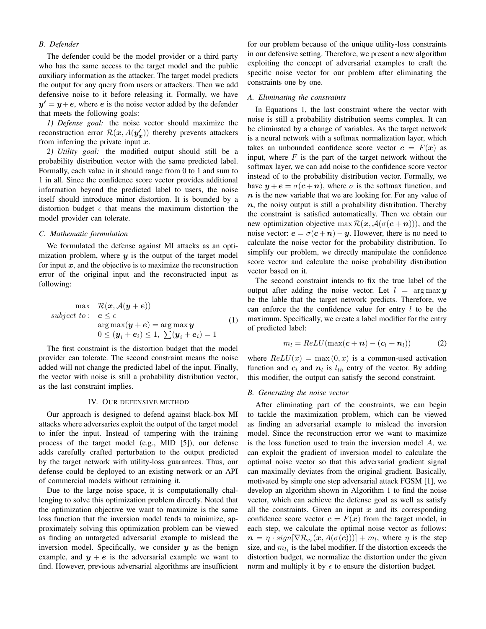# *B. Defender*

The defender could be the model provider or a third party who has the same access to the target model and the public auxiliary information as the attacker. The target model predicts the output for any query from users or attackers. Then we add defensive noise to it before releasing it. Formally, we have  $y' = y + e$ , where e is the noise vector added by the defender that meets the following goals:

*1) Defense goal:* the noise vector should maximize the reconstruction error  $\mathcal{R}(\boldsymbol{x},A(\boldsymbol{y'_{x}}))$  thereby prevents attackers from inferring the private input  $x$ .

*2) Utility goal:* the modified output should still be a probability distribution vector with the same predicted label. Formally, each value in it should range from 0 to 1 and sum to 1 in all. Since the confidence score vector provides additional information beyond the predicted label to users, the noise itself should introduce minor distortion. It is bounded by a distortion budget  $\epsilon$  that means the maximum distortion the model provider can tolerate.

## *C. Mathematic formulation*

We formulated the defense against MI attacks as an optimization problem, where  $y$  is the output of the target model for input  $x$ , and the objective is to maximize the reconstruction error of the original input and the reconstructed input as following:

$$
\begin{array}{ll}\n\max & \mathcal{R}(\mathbf{x}, \mathcal{A}(\mathbf{y} + \mathbf{e})) \\
\text{subject to:} & \mathbf{e} \le \epsilon \\
& \arg \max(\mathbf{y} + \mathbf{e}) = \arg \max \mathbf{y} \\
& 0 \le (\mathbf{y}_i + \mathbf{e}_i) \le 1, \ \sum(\mathbf{y}_i + \mathbf{e}_i) = 1\n\end{array} \tag{1}
$$

The first constraint is the distortion budget that the model provider can tolerate. The second constraint means the noise added will not change the predicted label of the input. Finally, the vector with noise is still a probability distribution vector, as the last constraint implies.

#### IV. OUR DEFENSIVE METHOD

Our approach is designed to defend against black-box MI attacks where adversaries exploit the output of the target model to infer the input. Instead of tampering with the training process of the target model (e.g., MID [5]), our defense adds carefully crafted perturbation to the output predicted by the target network with utility-loss guarantees. Thus, our defense could be deployed to an existing network or an API of commercial models without retraining it.

Due to the large noise space, it is computationally challenging to solve this optimization problem directly. Noted that the optimization objective we want to maximize is the same loss function that the inversion model tends to minimize, approximately solving this optimization problem can be viewed as finding an untargeted adversarial example to mislead the inversion model. Specifically, we consider  $y$  as the benign example, and  $y + e$  is the adversarial example we want to find. However, previous adversarial algorithms are insufficient for our problem because of the unique utility-loss constraints in our defensive setting. Therefore, we present a new algorithm exploiting the concept of adversarial examples to craft the specific noise vector for our problem after eliminating the constraints one by one.

#### *A. Eliminating the constraints*

In Equations 1, the last constraint where the vector with noise is still a probability distribution seems complex. It can be eliminated by a change of variables. As the target network is a neural network with a softmax normalization layer, which takes an unbounded confidence score vector  $c = F(x)$  as input, where  $F$  is the part of the target network without the softmax layer, we can add noise to the confidence score vector instead of to the probability distribution vector. Formally, we have  $y + e = \sigma(c+n)$ , where  $\sigma$  is the softmax function, and  $n$  is the new variable that we are looking for. For any value of  $n$ , the noisy output is still a probability distribution. Thereby the constraint is satisfied automatically. Then we obtain our new optimization objective max  $\mathcal{R}(\mathbf{x}, \mathcal{A}(\sigma(\mathbf{c} + \mathbf{n})))$ , and the noise vector:  $e = \sigma(c+n) - y$ . However, there is no need to calculate the noise vector for the probability distribution. To simplify our problem, we directly manipulate the confidence score vector and calculate the noise probability distribution vector based on it.

The second constraint intends to fix the true label of the output after adding the noise vector. Let  $l = \arg \max y$ be the lable that the target network predicts. Therefore, we can enforce the the confidence value for entry  $l$  to be the maximum. Specifically, we create a label modifier for the entry of predicted label:

$$
m_l = ReLU(\max(\boldsymbol{c} + \boldsymbol{n}) - (\boldsymbol{c}_l + \boldsymbol{n}_l))
$$
 (2)

where  $ReLU(x) = \max(0, x)$  is a common-used activation function and  $c_l$  and  $n_l$  is  $l_{th}$  entry of the vector. By adding this modifier, the output can satisfy the second constraint.

# *B. Generating the noise vector*

After eliminating part of the constraints, we can begin to tackle the maximization problem, which can be viewed as finding an adversarial example to mislead the inversion model. Since the reconstruction error we want to maximize is the loss function used to train the inversion model  $A$ , we can exploit the gradient of inversion model to calculate the optimal noise vector so that this adversarial gradient signal can maximally deviates from the original gradient. Basically, motivated by simple one step adversarial attack FGSM [1], we develop an algorithm shown in Algorithm 1 to find the noise vector, which can achieve the defense goal as well as satisfy all the constraints. Given an input  $x$  and its corresponding confidence score vector  $c = F(x)$  from the target model, in each step, we calculate the optimal noise vector as follows:  $\boldsymbol{n} = \eta \cdot sign[\nabla \mathcal{R}_{c_t}(\boldsymbol{x}, A(\sigma(\boldsymbol{c})))] + m_l$ , where  $\eta$  is the step size, and  $m_{l_t}$  is the label modifier. If the distortion exceeds the distortion budget, we normalize the distortion under the given norm and multiply it by  $\epsilon$  to ensure the distortion budget.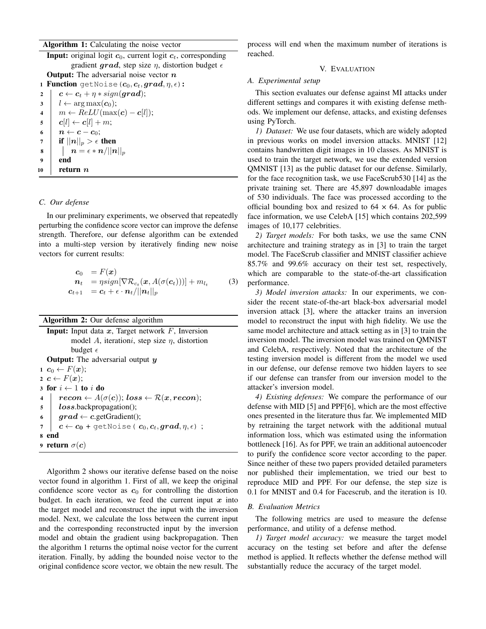# Algorithm 1: Calculating the noise vector

**Input:** original logit  $c_0$ , current logit  $c_t$ , corresponding gradient grad, step size  $\eta$ , distortion budget  $\epsilon$ 

**Output:** The adversarial noise vector  $n$ 1 Function getNoise  $(c_0, c_t, grad, \eta, \epsilon)$ : 2  $c \leftarrow c_t + \eta * sign(grad);$  $3 \mid l \leftarrow \arg \max(c_0);$  $\textbf{4} \mid m \leftarrow ReLU(\max(\boldsymbol{c}) - \boldsymbol{c}[l]);$  $\mathbf{s}$   $\mathbf{c}[l] \leftarrow \mathbf{c}[l] + m;$ 6  $n \leftarrow c - c_0;$  $7 \parallel \mathbf{i} \mathbf{f} \parallel n \parallel_p > \epsilon$  then  $\begin{array}{c|c} \mathbf{s} & \mathbf{a} \end{array} \begin{array}{c|c} \mathbf{s} & \mathbf{a} \end{array} \begin{array}{c|c} \mathbf{s} & \mathbf{a} \end{array} \begin{array}{c|c} \mathbf{s} & \mathbf{a} \end{array} \begin{array}{c|c} \mathbf{s} & \mathbf{s} \end{array} \begin{array}{c|c} \mathbf{s} & \mathbf{s} \end{array} \begin{array}{c|c} \mathbf{s} & \mathbf{s} \end{array} \begin{array}{c|c} \mathbf{s} & \mathbf{s} \end{array} \begin{array}{c|c} \mathbf{s} & \$ 9 end

 $10$  return  $n$ 

## *C. Our defense*

In our preliminary experiments, we observed that repeatedly perturbing the confidence score vector can improve the defense strength. Therefore, our defense algorithm can be extended into a multi-step version by iteratively finding new noise vectors for current results:

$$
\begin{array}{rcl}\n\mathbf{c}_0 &= F(\mathbf{x}) \\
\mathbf{n}_t &= \eta sign[\nabla \mathcal{R}_{c_t}(\mathbf{x}, A(\sigma(\mathbf{c}_t)))] + m_{l_t} \\
\mathbf{c}_{t+1} &= \mathbf{c}_t + \epsilon \cdot \mathbf{n}_t / ||\mathbf{n}_t||_p\n\end{array} \tag{3}
$$

Algorithm 2: Our defense algorithm

**Input:** Input data  $x$ , Target network  $F$ , Inversion model A, iterationi, step size  $\eta$ , distortion budget  $\epsilon$ **Output:** The adversarial output  $y$ 1  $c_0 \leftarrow F(x);$ 2  $c \leftarrow F(x);$ 3 for  $i \leftarrow 1$  to i do 4  $recon \leftarrow A(\sigma(c)); loss \leftarrow \mathcal{R}(x, recon);$ 5 | *loss*.backpropagation(); 6  $\int$  grad  $\leftarrow$  c.getGradient();  $\begin{array}{l} \tau \end{array} \mid \begin{array}{l} \boldsymbol{c} \leftarrow \boldsymbol{c_0} + \text{getNoise} \left( \begin{array}{l} \boldsymbol{c_0}, \boldsymbol{c_t}, \boldsymbol{grad}, \eta, \epsilon \right) \end{array}; \end{array}$ <sup>8</sup> end 9 return  $\sigma(c)$ 

Algorithm 2 shows our iterative defense based on the noise vector found in algorithm 1. First of all, we keep the original confidence score vector as  $c_0$  for controlling the distortion budget. In each iteration, we feed the current input  $x$  into the target model and reconstruct the input with the inversion model. Next, we calculate the loss between the current input and the corresponding reconstructed input by the inversion model and obtain the gradient using backpropagation. Then the algorithm 1 returns the optimal noise vector for the current iteration. Finally, by adding the bounded noise vector to the original confidence score vector, we obtain the new result. The

process will end when the maximum number of iterations is reached.

# V. EVALUATION

## *A. Experimental setup*

This section evaluates our defense against MI attacks under different settings and compares it with existing defense methods. We implement our defense, attacks, and existing defenses using PyTorch.

*1) Dataset:* We use four datasets, which are widely adopted in previous works on model inversion attacks. MNIST [12] contains handwritten digit images in 10 classes. As MNIST is used to train the target network, we use the extended version QMNIST [13] as the public dataset for our defense. Similarly, for the face recognition task, we use FaceScrub530 [14] as the private training set. There are 45,897 downloadable images of 530 individuals. The face was processed according to the official bounding box and resized to  $64 \times 64$ . As for public face information, we use CelebA [15] which contains 202,599 images of 10,177 celebrities.

*2) Target models:* For both tasks, we use the same CNN architecture and training strategy as in [3] to train the target model. The FaceScrub classifier and MNIST classifier achieve 85.7% and 99.6% accuracy on their test set, respectively, which are comparable to the state-of-the-art classification performance.

*3) Model inversion attacks:* In our experiments, we consider the recent state-of-the-art black-box adversarial model inversion attack [3], where the attacker trains an inversion model to reconstruct the input with high fidelity. We use the same model architecture and attack setting as in [3] to train the inversion model. The inversion model was trained on QMNIST and CelebA, respectively. Noted that the architecture of the testing inversion model is different from the model we used in our defense, our defense remove two hidden layers to see if our defense can transfer from our inversion model to the attacker's inversion model.

*4) Existing defenses:* We compare the performance of our defense with MID [5] and PPF[6], which are the most effective ones presented in the literature thus far. We implemented MID by retraining the target network with the additional mutual information loss, which was estimated using the information bottleneck [16]. As for PPF, we train an additional autoencoder to purify the confidence score vector according to the paper. Since neither of these two papers provided detailed parameters nor published their implementation, we tried our best to reproduce MID and PPF. For our defense, the step size is 0.1 for MNIST and 0.4 for Facescrub, and the iteration is 10.

## *B. Evaluation Metrics*

The following metrics are used to measure the defense performance, and utility of a defense method.

*1) Target model accuracy:* we measure the target model accuracy on the testing set before and after the defense method is applied. It reflects whether the defense method will substantially reduce the accuracy of the target model.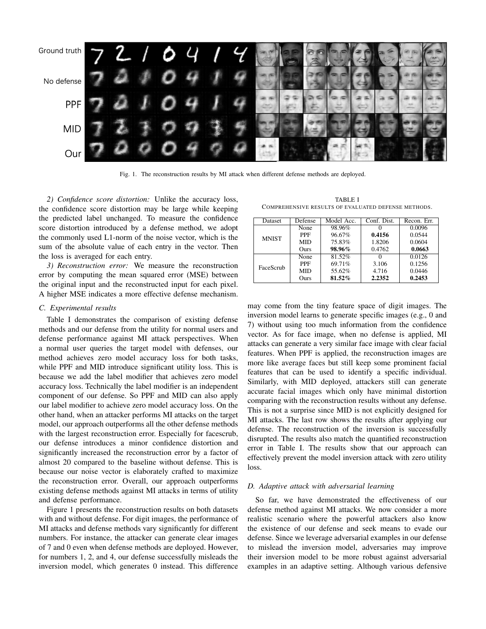

Fig. 1. The reconstruction results by MI attack when different defense methods are deployed.

*2) Confidence score distortion:* Unlike the accuracy loss, the confidence score distortion may be large while keeping the predicted label unchanged. To measure the confidence score distortion introduced by a defense method, we adopt the commonly used L1-norm of the noise vector, which is the sum of the absolute value of each entry in the vector. Then the loss is averaged for each entry.

*3) Reconstruction error:* We measure the reconstruction error by computing the mean squared error (MSE) between the original input and the reconstructed input for each pixel. A higher MSE indicates a more effective defense mechanism.

#### *C. Experimental results*

Table I demonstrates the comparison of existing defense methods and our defense from the utility for normal users and defense performance against MI attack perspectives. When a normal user queries the target model with defenses, our method achieves zero model accuracy loss for both tasks, while PPF and MID introduce significant utility loss. This is because we add the label modifier that achieves zero model accuracy loss. Technically the label modifier is an independent component of our defense. So PPF and MID can also apply our label modifier to achieve zero model accuracy loss. On the other hand, when an attacker performs MI attacks on the target model, our approach outperforms all the other defense methods with the largest reconstruction error. Especially for facescrub, our defense introduces a minor confidence distortion and significantly increased the reconstruction error by a factor of almost 20 compared to the baseline without defense. This is because our noise vector is elaborately crafted to maximize the reconstruction error. Overall, our approach outperforms existing defense methods against MI attacks in terms of utility and defense performance.

Figure 1 presents the reconstruction results on both datasets with and without defense. For digit images, the performance of MI attacks and defense methods vary significantly for different numbers. For instance, the attacker can generate clear images of 7 and 0 even when defense methods are deployed. However, for numbers 1, 2, and 4, our defense successfully misleads the inversion model, which generates 0 instead. This difference

TABLE I COMPREHENSIVE RESULTS OF EVALUATED DEFENSE METHODS.

| Dataset      | Defense    | Model Acc. | Conf. Dist. | Recon. Err. |
|--------------|------------|------------|-------------|-------------|
| <b>MNIST</b> | None       | 98.96%     |             | 0.0096      |
|              | <b>PPF</b> | 96.67%     | 0.4156      | 0.0544      |
|              | MID        | 75.83%     | 1.8206      | 0.0604      |
|              | Ours       | 98.96%     | 0.4762      | 0.0663      |
| FaceScrub    | None       | 81.52%     |             | 0.0126      |
|              | <b>PPF</b> | 69.71%     | 3.106       | 0.1256      |
|              | MID        | 55.62%     | 4.716       | 0.0446      |
|              | Ours       | 81.52%     | 2.2352      | 0.2453      |

may come from the tiny feature space of digit images. The inversion model learns to generate specific images (e.g., 0 and 7) without using too much information from the confidence vector. As for face image, when no defense is applied, MI attacks can generate a very similar face image with clear facial features. When PPF is applied, the reconstruction images are more like average faces but still keep some prominent facial features that can be used to identify a specific individual. Similarly, with MID deployed, attackers still can generate accurate facial images which only have minimal distortion comparing with the reconstruction results without any defense. This is not a surprise since MID is not explicitly designed for MI attacks. The last row shows the results after applying our defense. The reconstruction of the inversion is successfully disrupted. The results also match the quantified reconstruction error in Table I. The results show that our approach can effectively prevent the model inversion attack with zero utility loss.

# *D. Adaptive attack with adversarial learning*

So far, we have demonstrated the effectiveness of our defense method against MI attacks. We now consider a more realistic scenario where the powerful attackers also know the existence of our defense and seek means to evade our defense. Since we leverage adversarial examples in our defense to mislead the inversion model, adversaries may improve their inversion model to be more robust against adversarial examples in an adaptive setting. Although various defensive